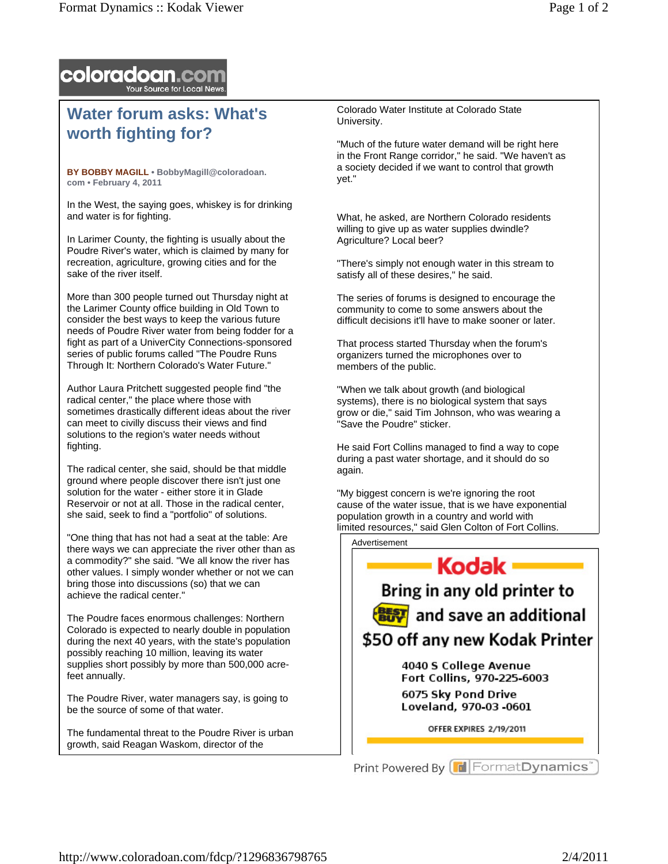

## **Water forum asks: What's worth fighting for?**

**BY BOBBY MAGILL • BobbyMagill@coloradoan. com • February 4, 2011** 

In the West, the saying goes, whiskey is for drinking and water is for fighting.

In Larimer County, the fighting is usually about the Poudre River's water, which is claimed by many for recreation, agriculture, growing cities and for the sake of the river itself.

More than 300 people turned out Thursday night at the Larimer County office building in Old Town to consider the best ways to keep the various future needs of Poudre River water from being fodder for a fight as part of a UniverCity Connections-sponsored series of public forums called "The Poudre Runs Through It: Northern Colorado's Water Future."

Author Laura Pritchett suggested people find "the radical center," the place where those with sometimes drastically different ideas about the river can meet to civilly discuss their views and find solutions to the region's water needs without fighting.

The radical center, she said, should be that middle ground where people discover there isn't just one solution for the water - either store it in Glade Reservoir or not at all. Those in the radical center, she said, seek to find a "portfolio" of solutions.

"One thing that has not had a seat at the table: Are there ways we can appreciate the river other than as a commodity?" she said. "We all know the river has other values. I simply wonder whether or not we can bring those into discussions (so) that we can achieve the radical center."

The Poudre faces enormous challenges: Northern Colorado is expected to nearly double in population during the next 40 years, with the state's population possibly reaching 10 million, leaving its water supplies short possibly by more than 500,000 acrefeet annually.

The Poudre River, water managers say, is going to be the source of some of that water.

The fundamental threat to the Poudre River is urban growth, said Reagan Waskom, director of the

Colorado Water Institute at Colorado State University.

"Much of the future water demand will be right here in the Front Range corridor," he said. "We haven't as a society decided if we want to control that growth yet."

What, he asked, are Northern Colorado residents willing to give up as water supplies dwindle? Agriculture? Local beer?

"There's simply not enough water in this stream to satisfy all of these desires," he said.

The series of forums is designed to encourage the community to come to some answers about the difficult decisions it'll have to make sooner or later.

That process started Thursday when the forum's organizers turned the microphones over to members of the public.

"When we talk about growth (and biological systems), there is no biological system that says grow or die," said Tim Johnson, who was wearing a "Save the Poudre" sticker.

He said Fort Collins managed to find a way to cope during a past water shortage, and it should do so again.

"My biggest concern is we're ignoring the root cause of the water issue, that is we have exponential population growth in a country and world with limited resources," said Glen Colton of Fort Collins.

Advertisement



OFFER EXPIRES 2/19/2011

Print Powered By **F** Format Dynamics